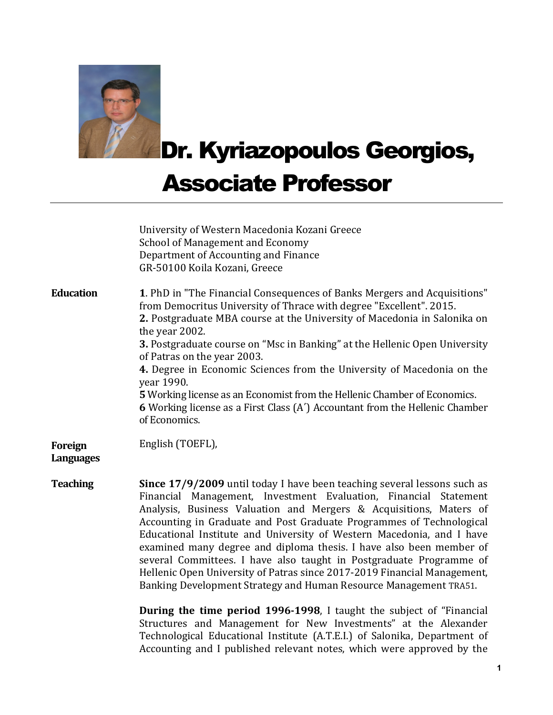

Dr. Kyriazopoulos Georgios,

## Associate Professor

|                                    | University of Western Macedonia Kozani Greece<br><b>School of Management and Economy</b><br>Department of Accounting and Finance<br>GR-50100 Koila Kozani, Greece                                                                                                                                                                                                                                                                                                                                                                                                                                                                                                  |
|------------------------------------|--------------------------------------------------------------------------------------------------------------------------------------------------------------------------------------------------------------------------------------------------------------------------------------------------------------------------------------------------------------------------------------------------------------------------------------------------------------------------------------------------------------------------------------------------------------------------------------------------------------------------------------------------------------------|
| <b>Education</b>                   | 1. PhD in "The Financial Consequences of Banks Mergers and Acquisitions"<br>from Democritus University of Thrace with degree "Excellent". 2015.<br>2. Postgraduate MBA course at the University of Macedonia in Salonika on<br>the year 2002.<br>3. Postgraduate course on "Msc in Banking" at the Hellenic Open University<br>of Patras on the year 2003.<br>4. Degree in Economic Sciences from the University of Macedonia on the<br>year 1990.<br>5 Working license as an Economist from the Hellenic Chamber of Economics.<br><b>6</b> Working license as a First Class (A') Accountant from the Hellenic Chamber<br>of Economics.                            |
| <b>Foreign</b><br><b>Languages</b> | English (TOEFL),                                                                                                                                                                                                                                                                                                                                                                                                                                                                                                                                                                                                                                                   |
| <b>Teaching</b>                    | Since 17/9/2009 until today I have been teaching several lessons such as<br>Financial Management, Investment Evaluation, Financial Statement<br>Analysis, Business Valuation and Mergers & Acquisitions, Maters of<br>Accounting in Graduate and Post Graduate Programmes of Technological<br>Educational Institute and University of Western Macedonia, and I have<br>examined many degree and diploma thesis. I have also been member of<br>several Committees. I have also taught in Postgraduate Programme of<br>Hellenic Open University of Patras since 2017-2019 Financial Management,<br>Banking Development Strategy and Human Resource Management TRA51. |
|                                    | <b>During the time period 1996-1998</b> , I taught the subject of "Financial"                                                                                                                                                                                                                                                                                                                                                                                                                                                                                                                                                                                      |

Structures and Management for New Investments" at the Alexander Technological Educational Institute (Α.Τ.Ε.Ι.) of Salonika, Department of Accounting and I published relevant notes, which were approved by the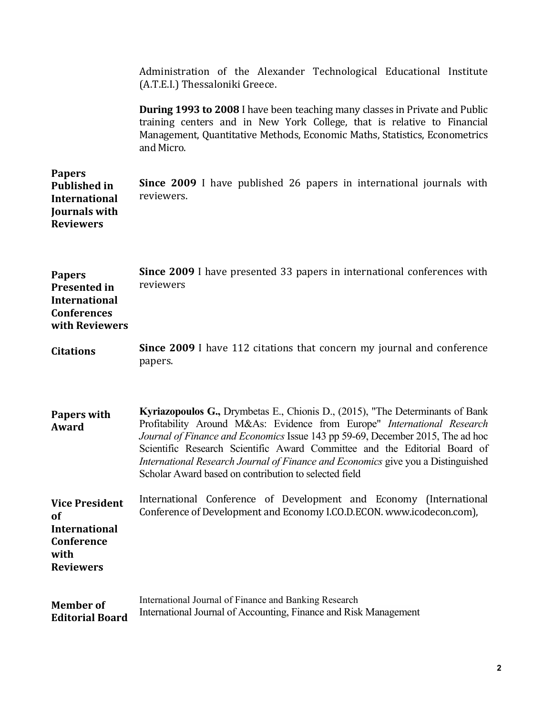|                                                                                                      | Administration of the Alexander Technological Educational Institute<br>(A.T.E.I.) Thessaloniki Greece.                                                                                                                                                                                                                                                                                                                                                               |
|------------------------------------------------------------------------------------------------------|----------------------------------------------------------------------------------------------------------------------------------------------------------------------------------------------------------------------------------------------------------------------------------------------------------------------------------------------------------------------------------------------------------------------------------------------------------------------|
|                                                                                                      | <b>During 1993 to 2008</b> I have been teaching many classes in Private and Public<br>training centers and in New York College, that is relative to Financial<br>Management, Quantitative Methods, Economic Maths, Statistics, Econometrics<br>and Micro.                                                                                                                                                                                                            |
| <b>Papers</b><br><b>Published in</b><br><b>International</b><br>Journals with<br><b>Reviewers</b>    | <b>Since 2009</b> I have published 26 papers in international journals with<br>reviewers.                                                                                                                                                                                                                                                                                                                                                                            |
| <b>Papers</b><br><b>Presented in</b><br><b>International</b><br><b>Conferences</b><br>with Reviewers | Since 2009 I have presented 33 papers in international conferences with<br>reviewers                                                                                                                                                                                                                                                                                                                                                                                 |
| <b>Citations</b>                                                                                     | Since 2009 I have 112 citations that concern my journal and conference<br>papers.                                                                                                                                                                                                                                                                                                                                                                                    |
| <b>Papers with</b><br>Award                                                                          | Kyriazopoulos G., Drymbetas E., Chionis D., (2015), "The Determinants of Bank<br>Profitability Around M&As: Evidence from Europe" International Research<br>Journal of Finance and Economics Issue 143 pp 59-69, December 2015, The ad hoc<br>Scientific Research Scientific Award Committee and the Editorial Board of<br>International Research Journal of Finance and Economics give you a Distinguished<br>Scholar Award based on contribution to selected field |
| <b>Vice President</b><br><b>of</b><br><b>International</b><br>Conference<br>with<br><b>Reviewers</b> | International Conference of Development and Economy (International<br>Conference of Development and Economy I.CO.D.ECON. www.icodecon.com),                                                                                                                                                                                                                                                                                                                          |
| <b>Member</b> of<br><b>Editorial Board</b>                                                           | International Journal of Finance and Banking Research<br>International Journal of Accounting, Finance and Risk Management                                                                                                                                                                                                                                                                                                                                            |